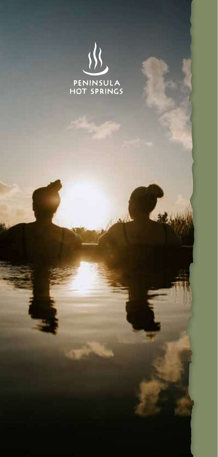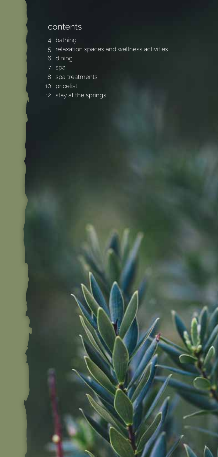### contents

- bathing
- relaxation spaces and wellness activities
- dining
- spa
- spa treatments
- pricelist
- 12 stay at the springs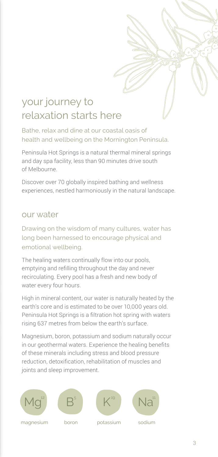# your journey to relaxation starts here

Bathe, relax and dine at our coastal oasis of health and wellbeing on the Mornington Peninsula.

Peninsula Hot Springs is a natural thermal mineral springs and day spa facility, less than 90 minutes drive south of Melbourne.

Discover over 70 globally inspired bathing and wellness experiences, nestled harmoniously in the natural landscape.

### our water

Drawing on the wisdom of many cultures, water has long been harnessed to encourage physical and emotional wellbeing.

The healing waters continually flow into our pools, emptying and refilling throughout the day and never recirculating. Every pool has a fresh and new body of water every four hours.

High in mineral content, our water is naturally heated by the earth's core and is estimated to be over 10,000 years old. Peninsula Hot Springs is a filtration hot spring with waters rising 637 metres from below the earth's surface.

Magnesium, boron, potassium and sodium naturally occur in our geothermal waters. Experience the healing benefits of these minerals including stress and blood pressure reduction, detoxification, rehabilitation of muscles and joints and sleep improvement.









magnesium

boron

potassium

sodium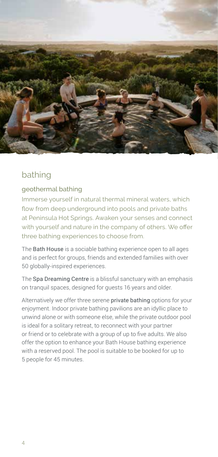

# bathing

#### geothermal bathing

Immerse yourself in natural thermal mineral waters, which flow from deep underground into pools and private baths at Peninsula Hot Springs. Awaken your senses and connect with yourself and nature in the company of others. We offer three bathing experiences to choose from.

The **Bath House** is a sociable bathing experience open to all ages and is perfect for groups, friends and extended families with over 50 globally-inspired experiences.

The Spa Dreaming Centre is a blissful sanctuary with an emphasis on tranquil spaces, designed for guests 16 years and older.

Alternatively we offer three serene private bathing options for your enjoyment. Indoor private bathing pavilions are an idyllic place to unwind alone or with someone else, while the private outdoor pool is ideal for a solitary retreat, to reconnect with your partner or friend or to celebrate with a group of up to five adults. We also offer the option to enhance your Bath House bathing experience with a reserved pool. The pool is suitable to be booked for up to 5 people for 45 minutes.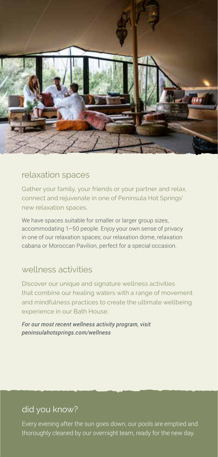

### relaxation spaces

Gather your family, your friends or your partner and relax, connect and rejuvenate in one of Peninsula Hot Springs' new relaxation spaces.

We have spaces suitable for smaller or larger group sizes, accommodating 1–50 people. Enjoy your own sense of privacy in one of our relaxation spaces; our relaxation dome, relaxation cabana or Moroccan Pavilion, perfect for a special occasion.

## wellness activities

Discover our unique and signature wellness activities that combine our healing waters with a range of movement and mindfulness practices to create the ultimate wellbeing experience in our Bath House.

*For our most recent wellness activity program, visit peninsulahotsprings.com/wellness*

# did you know?

Every evening after the sun goes down, our pools are emptied and thoroughly cleaned by our overnight team, ready for the new day.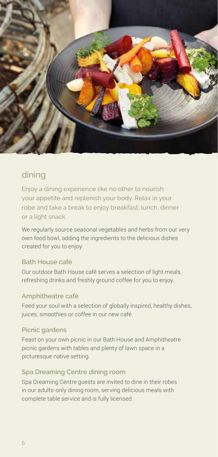

# dining

Enjoy a dining experience like no other to nourish your appetite and replenish your body. Relax in your robe and take a break to enjoy breakfast, lunch, dinner or a light snack.

We regularly source seasonal vegetables and herbs from our very own food bowl, adding the ingredients to the delicious dishes created for you to enjoy.

#### Bath House café

Our outdoor Bath House café serves a selection of light meals, refreshing drinks and freshly ground coffee for you to enjoy.

#### Amphitheatre café

Feed your soul with a selection of globally inspired, healthy dishes, juices, smoothies or coffee in our new café.

#### Picnic gardens

Feast on your own picnic in our Bath House and Amphitheatre picnic gardens with tables and plenty of lawn space in a picturesque native setting.

#### Spa Dreaming Centre dining room

Spa Dreaming Centre guests are invited to dine in their robes in our adults-only dining room, serving delicious meals with complete table service and is fully licensed.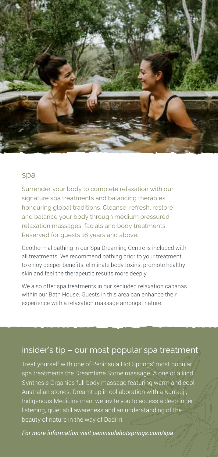

#### spa

Surrender your body to complete relaxation with our signature spa treatments and balancing therapies honouring global traditions. Cleanse, refresh, restore and balance your body through medium pressured relaxation massages, facials and body treatments. Reserved for quests 16 years and above.

Geothermal bathing in our Spa Dreaming Centre is included with all treatments. We recommend bathing prior to your treatment to enjoy deeper benefits, eliminate body toxins, promote healthy skin and feel the therapeutic results more deeply.

We also offer spa treatments in our secluded relaxation cabanas within our Bath House. Guests in this area can enhance their experience with a relaxation massage amongst nature.

## insider's tip – our most popular spa treatment

Treat yourself with one of Peninsula Hot Springs' most popular spa treatments the Dreamtime Stone massage. A one of a kind Synthesis Organics full body massage featuring warm and cool Australian stones. Dreamt up in collaboration with a Kurradji, Indigenous Medicine man, we invite you to access a deep inner listening, quiet still awareness and an understanding of the beauty of nature in the way of Dadirri.

*For more information visit peninsulahotsprings.com/spa*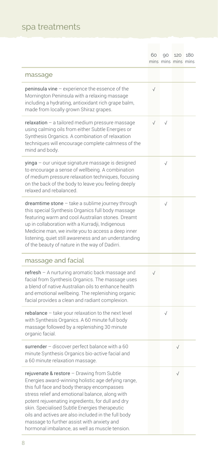# spa treatments

|                                                                                                                                                                                                                                                                                                                                                                                                                                                                 | 60        | mins mins mins mins | 90 120 180 |  |
|-----------------------------------------------------------------------------------------------------------------------------------------------------------------------------------------------------------------------------------------------------------------------------------------------------------------------------------------------------------------------------------------------------------------------------------------------------------------|-----------|---------------------|------------|--|
| massage                                                                                                                                                                                                                                                                                                                                                                                                                                                         |           |                     |            |  |
| peninsula vine - experience the essence of the<br>Mornington Peninsula with a relaxing massage<br>including a hydrating, antioxidant rich grape balm,<br>made from locally grown Shiraz grapes.                                                                                                                                                                                                                                                                 | $\sqrt{}$ |                     |            |  |
| relaxation - a tailored medium pressure massage<br>using calming oils from either Subtle Energies or<br>Synthesis Organics. A combination of relaxation<br>techniques will encourage complete calmness of the<br>mind and body.                                                                                                                                                                                                                                 | $\sqrt{}$ | $\sqrt{}$           |            |  |
| yinga - our unique signature massage is designed<br>to encourage a sense of wellbeing. A combination<br>of medium pressure relaxation techniques, focusing<br>on the back of the body to leave you feeling deeply<br>relaxed and rebalanced.                                                                                                                                                                                                                    |           | $\sqrt{ }$          |            |  |
| dreamtime stone - take a sublime journey through<br>this special Synthesis Organics full body massage<br>featuring warm and cool Australian stones. Dreamt<br>up in collaboration with a Kurradji, Indigenous<br>Medicine man, we invite you to access a deep inner<br>listening, quiet still awareness and an understanding<br>of the beauty of nature in the way of Dadirri.                                                                                  |           | $\sqrt{}$           |            |  |
| massage and facial                                                                                                                                                                                                                                                                                                                                                                                                                                              |           |                     |            |  |
| refresh - A nurturing aromatic back massage and<br>facial from Synthesis Organics. The massage uses<br>a blend of native Australian oils to enhance health<br>and emotional wellbeing. The replenishing organic<br>facial provides a clean and radiant complexion.                                                                                                                                                                                              | $\sqrt{}$ |                     |            |  |
| rebalance - take your relaxation to the next level<br>with Synthesis Organics. A 60 minute full body<br>massage followed by a replenishing 30 minute<br>organic facial.                                                                                                                                                                                                                                                                                         |           | $\sqrt{}$           |            |  |
| surrender - discover perfect balance with a 60<br>minute Synthesis Organics bio-active facial and<br>a 60 minute relaxation massage.                                                                                                                                                                                                                                                                                                                            |           |                     | $\sqrt{}$  |  |
| rejuvenate & restore - Drawing from Subtle<br>Energies award-winning holistic age defying range,<br>this full face and body therapy encompasses<br>stress relief and emotional balance, along with<br>potent rejuvenating ingredients, for dull and dry<br>skin. Specialised Subtle Energies therapeutic<br>oils and actives are also included in the full body<br>massage to further assist with anxiety and<br>hormonal imbalance, as well as muscle tension. |           |                     |            |  |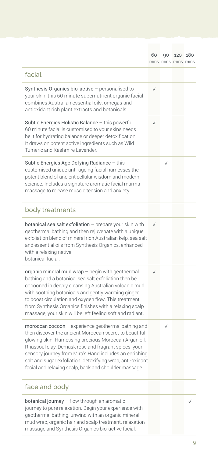|                                                                                                                                                                                                                                                                                                                                                                                                                 | 60        | 90        | 120 180<br>mins mins mins mins |  |
|-----------------------------------------------------------------------------------------------------------------------------------------------------------------------------------------------------------------------------------------------------------------------------------------------------------------------------------------------------------------------------------------------------------------|-----------|-----------|--------------------------------|--|
| facial                                                                                                                                                                                                                                                                                                                                                                                                          |           |           |                                |  |
| Synthesis Organics bio-active - personalised to<br>your skin, this 60 minute supernutrient organic facial<br>combines Australian essential oils, omegas and<br>antioxidant rich plant extracts and botanicals.                                                                                                                                                                                                  | $\sqrt{}$ |           |                                |  |
| Subtle Energies Holistic Balance - this powerful<br>60 minute facial is customised to your skins needs<br>be it for hydrating balance or deeper detoxification.<br>It draws on potent active ingredients such as Wild<br>Tumeric and Kashmire Lavender.                                                                                                                                                         | $\sqrt{}$ |           |                                |  |
| Subtle Energies Age Defying Radiance - this<br>customised unique anti-ageing facial harnesses the<br>potent blend of ancient cellular wisdom and modern<br>science. Includes a signature aromatic facial marma<br>massage to release muscle tension and anxiety.                                                                                                                                                |           | $\sqrt{}$ |                                |  |
| body treatments                                                                                                                                                                                                                                                                                                                                                                                                 |           |           |                                |  |
| botanical sea salt exfoliation - prepare your skin with<br>geothermal bathing and then rejuvenate with a unique<br>exfoliation blend of mineral rich Australian kelp, sea salt<br>and essential oils from Synthesis Organics, enhanced<br>with a relaxing native<br>botanical facial.                                                                                                                           | $\sqrt{}$ |           |                                |  |
| organic mineral mud wrap - begin with geothermal<br>bathing and a botanical sea salt exfoliation then be<br>cocooned in deeply cleansing Australian volcanic mud<br>with soothing botanicals and gently warming ginger<br>to boost circulation and oxygen flow. This treatment<br>from Synthesis Organics finishes with a relaxing scalp<br>massage, your skin will be left feeling soft and radiant.           | $\sqrt{}$ |           |                                |  |
| moroccan cocoon - experience geothermal bathing and<br>then discover the ancient Moroccan secret to beautiful<br>glowing skin. Harnessing precious Moroccan Argan oil,<br>Rhassoul clay, Demask rose and fragrant spices, your<br>sensory journey from Mira's Hand includes an enriching<br>salt and sugar exfoliation, detoxifying wrap, anti-oxidant<br>facial and relaxing scalp, back and shoulder massage. |           | $\sqrt{}$ |                                |  |
| face and body                                                                                                                                                                                                                                                                                                                                                                                                   |           |           |                                |  |
| botanical journey - flow through an aromatic<br>journey to pure relaxation. Begin your experience with<br>geothermal bathing, unwind with an organic mineral<br>mud wrap, organic hair and scalp treatment, relaxation<br>massage and Synthesis Organics bio-active facial.                                                                                                                                     |           |           |                                |  |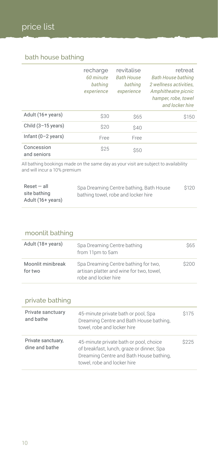### bath house bathing

|                              | recharge<br>60 minute<br>bathing<br>experience | revitalise<br><b>Bath House</b><br>bathing<br>experience | retreat<br><b>Bath House bathing</b><br>2 wellness activities.<br>Amphitheatre picnic<br>hamper, robe, towel<br>and locker hire |
|------------------------------|------------------------------------------------|----------------------------------------------------------|---------------------------------------------------------------------------------------------------------------------------------|
| Adult (16+ years)            | \$30                                           | <b>\$65</b>                                              | \$150                                                                                                                           |
| Child $(3-15 \text{ years})$ | \$20                                           | \$40                                                     |                                                                                                                                 |
| Infant $(0-2 \text{ years})$ | Free                                           | Free                                                     |                                                                                                                                 |
| Concession<br>and seniors    | \$25                                           | \$50                                                     |                                                                                                                                 |

All bathing bookings made on the same day as your visit are subject to availability and will incur a 10% premium

| $Reset - all$     | Spa Dreaming Centre bathing, Bath House | \$120 |
|-------------------|-----------------------------------------|-------|
| site bathing      | bathing towel, robe and locker hire     |       |
| Adult (16+ years) |                                         |       |

#### moonlit bathing

| Adult (18+ years)            | Spa Dreaming Centre bathing<br>from 11pm to 5am                                                          | <b>S65</b> |
|------------------------------|----------------------------------------------------------------------------------------------------------|------------|
| Moonlit minibreak<br>for two | Spa Dreaming Centre bathing for two.<br>artisan platter and wine for two, towel,<br>robe and locker hire | \$200      |

### private bathing

| Private sanctuary<br>and bathe       | 45-minute private bath or pool, Spa<br>Dreaming Centre and Bath House bathing,<br>towel, robe and locker hire                                                 | \$175 |
|--------------------------------------|---------------------------------------------------------------------------------------------------------------------------------------------------------------|-------|
| Private sanctuary,<br>dine and bathe | 45-minute private bath or pool, choice<br>of breakfast, lunch, graze or dinner, Spa<br>Dreaming Centre and Bath House bathing,<br>towel, robe and locker hire | \$225 |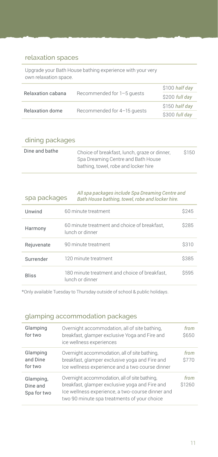#### relaxation spaces

Upgrade your Bath House bathing experience with your very own relaxation space.

|                   |                             | \$100 half day |
|-------------------|-----------------------------|----------------|
| Relaxation cabana | Recommended for 1-5 quests  | \$200 full day |
|                   |                             | \$150 half day |
| Relaxation dome   | Recommended for 4-15 quests | \$300 full day |

| dining packages |                                                                                                                            |       |
|-----------------|----------------------------------------------------------------------------------------------------------------------------|-------|
| Dine and bathe  | Choice of breakfast, lunch, graze or dinner,<br>Spa Dreaming Centre and Bath House<br>bathing, towel, robe and locker hire | \$150 |

| spa packages | Bath House bathing, towel, robe and locker hire.                 | All spa packages include Spa Dreaming Centre and |  |  |
|--------------|------------------------------------------------------------------|--------------------------------------------------|--|--|
| Unwind       | 60 minute treatment                                              | <b>S245</b>                                      |  |  |
| Harmony      | 60 minute treatment and choice of breakfast,<br>lunch or dinner  | \$285                                            |  |  |
| Rejuvenate   | 90 minute treatment                                              | \$310                                            |  |  |
| Surrender    | 120 minute treatment                                             | \$385                                            |  |  |
| <b>Bliss</b> | 180 minute treatment and choice of breakfast,<br>lunch or dinner | \$595                                            |  |  |

\*Only available Tuesday to Thursday outside of school & public holidays.

#### glamping accommodation packages

| Glamping<br>for two                  | Overnight accommodation, all of site bathing,<br>breakfast, glamper exclusive Yoga and Fire and<br>ice wellness experiences                                                                        | from<br>\$650  |
|--------------------------------------|----------------------------------------------------------------------------------------------------------------------------------------------------------------------------------------------------|----------------|
| Glamping<br>and Dine<br>for two      | Overnight accommodation, all of site bathing,<br>breakfast, glamper exclusive yoga and Fire and<br>Ice wellness experience and a two course dinner                                                 | from<br>\$770  |
| Glamping,<br>Dine and<br>Spa for two | Overnight accommodation, all of site bathing,<br>breakfast, glamper exclusive yoga and Fire and<br>Ice wellness experience, a two-course dinner and<br>two 90 minute spa treatments of your choice | from<br>\$1260 |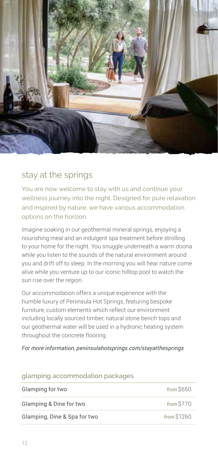

### stay at the springs

You are now welcome to stay with us and continue your wellness journey into the night. Designed for pure relaxation and inspired by nature, we have various accommodation options on the horizon.

Imagine soaking in our geothermal mineral springs, enjoying a nourishing meal and an indulgent spa treatment before strolling to your home for the night. You snuggle underneath a warm doona while you listen to the sounds of the natural environment around you and drift off to sleep. In the morning you will hear nature come alive while you venture up to our iconic hilltop pool to watch the sun rise over the region.

Our accommodation offers a unique experience with the humble luxury of Peninsula Hot Springs, featuring bespoke furniture, custom elements which reflect our environment including locally sourced timber, natural stone bench tops and our geothermal water will be used in a hydronic heating system throughout the concrete flooring.

*For more information, peninsulahotsprings.com/stayatthesprings*

| glamping accommodation packages |             |
|---------------------------------|-------------|
| Glamping for two                | from S650   |
| Glamping & Dine for two         | from \$770  |
| Glamping, Dine & Spa for two    | from \$1260 |